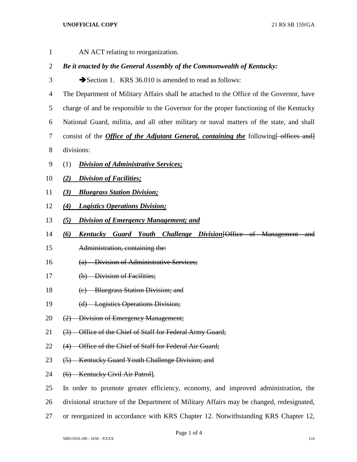## **UNOFFICIAL COPY** 21 RS SB 159/GA

| $\mathbf 1$ | AN ACT relating to reorganization.                                                               |
|-------------|--------------------------------------------------------------------------------------------------|
| 2           | Be it enacted by the General Assembly of the Commonwealth of Kentucky:                           |
| 3           | Section 1. KRS 36.010 is amended to read as follows:                                             |
| 4           | The Department of Military Affairs shall be attached to the Office of the Governor, have         |
| 5           | charge of and be responsible to the Governor for the proper functioning of the Kentucky          |
| 6           | National Guard, militia, and all other military or naval matters of the state, and shall         |
| 7           | consist of the <i>Office of the Adjutant General, containing the</i> following for offices and j |
| 8           | divisions:                                                                                       |
| 9           | <b>Division of Administrative Services;</b><br>(1)                                               |
| 10          | <b>Division of Facilities;</b><br>(2)                                                            |
| 11          | <b>Bluegrass Station Division;</b><br>(3)                                                        |
| 12          | <b>Logistics Operations Division;</b><br>(4)                                                     |
| 13          | <b>Division of Emergency Management; and</b><br>(5)                                              |
| 14          | <b>Kentucky Guard Youth Challenge Division [Office of Management</b><br>(6)<br><del>-and</del>   |
| 15          | Administration, containing the:                                                                  |
| 16          | (a) Division of Administrative Services;                                                         |
| 17          | (b) Division of Facilities;                                                                      |
| 18          | (c) Bluegrass Station Division; and                                                              |
| 19          | (d) Logistics Operations Division;                                                               |
| 20          | (2) Division of Emergency Management;                                                            |
| 21          | (3) Office of the Chief of Staff for Federal Army Guard;                                         |
| 22          | Office of the Chief of Staff for Federal Air Guard;<br>(4)                                       |
| 23          | (5) Kentucky Guard Youth Challenge Division; and                                                 |
| 24          | (6) Kentucky Civil Air Patrol].                                                                  |
| 25          | In order to promote greater efficiency, economy, and improved administration, the                |
| 26          | divisional structure of the Department of Military Affairs may be changed, redesignated,         |
| 27          | or reorganized in accordance with KRS Chapter 12. Notwithstanding KRS Chapter 12,                |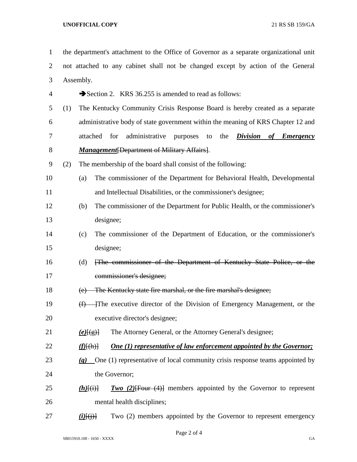## **UNOFFICIAL COPY** 21 RS SB 159/GA

| $\mathbf{1}$   | the department's attachment to the Office of Governor as a separate organizational unit |                                   |                                                                                          |  |
|----------------|-----------------------------------------------------------------------------------------|-----------------------------------|------------------------------------------------------------------------------------------|--|
| $\overline{2}$ |                                                                                         |                                   | not attached to any cabinet shall not be changed except by action of the General         |  |
| 3              | Assembly.                                                                               |                                   |                                                                                          |  |
| 4              |                                                                                         |                                   | Section 2. KRS 36.255 is amended to read as follows:                                     |  |
| 5              | (1)                                                                                     |                                   | The Kentucky Community Crisis Response Board is hereby created as a separate             |  |
| 6              |                                                                                         |                                   | administrative body of state government within the meaning of KRS Chapter 12 and         |  |
| 7              |                                                                                         | attached                          | administrative<br><b>Division</b><br>for<br>purposes<br>the<br>to<br>of <i>Emergency</i> |  |
| 8              |                                                                                         |                                   | <b>Management</b> [Department of Military Affairs].                                      |  |
| 9              | (2)                                                                                     |                                   | The membership of the board shall consist of the following:                              |  |
| 10             |                                                                                         | (a)                               | The commissioner of the Department for Behavioral Health, Developmental                  |  |
| 11             |                                                                                         |                                   | and Intellectual Disabilities, or the commissioner's designee;                           |  |
| 12             |                                                                                         | (b)                               | The commissioner of the Department for Public Health, or the commissioner's              |  |
| 13             |                                                                                         |                                   | designee;                                                                                |  |
| 14             |                                                                                         | (c)                               | The commissioner of the Department of Education, or the commissioner's                   |  |
| 15             |                                                                                         |                                   | designee;                                                                                |  |
| 16             |                                                                                         | (d)                               | The commissioner of the Department of Kentucky State Police, or the                      |  |
| 17             |                                                                                         |                                   | commissioner's designee;                                                                 |  |
| 18             |                                                                                         | (e)                               | The Kentucky state fire marshal, or the fire marshal's designee;                         |  |
| 19             |                                                                                         | (f)                               | The executive director of the Division of Emergency Management, or the                   |  |
| 20             |                                                                                         |                                   | executive director's designee;                                                           |  |
| 21             |                                                                                         | $(e)$ [(g)]                       | The Attorney General, or the Attorney General's designee;                                |  |
| 22             |                                                                                         | $\langle f(\mathbf{h})\rangle$    | <b>One (1) representative of law enforcement appointed by the Governor;</b>              |  |
| 23             |                                                                                         |                                   | $(g)$ One (1) representative of local community crisis response teams appointed by       |  |
| 24             |                                                                                         |                                   | the Governor;                                                                            |  |
| 25             |                                                                                         | $(h)$ $(i)$                       | <b>Two</b> (2) [Four $(4)$ ] members appointed by the Governor to represent              |  |
| 26             |                                                                                         |                                   | mental health disciplines;                                                               |  |
| 27             |                                                                                         | $\underline{(i)}[\overline{(j)}]$ | Two (2) members appointed by the Governor to represent emergency                         |  |

Page 2 of 4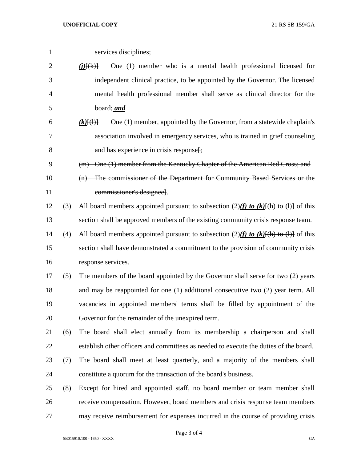services disciplines;

| $\overline{2}$ |     | One (1) member who is a mental health professional licensed for<br>$\underline{(i)}$ $(k)$ |
|----------------|-----|--------------------------------------------------------------------------------------------|
| 3              |     | independent clinical practice, to be appointed by the Governor. The licensed               |
| $\overline{4}$ |     | mental health professional member shall serve as clinical director for the                 |
| 5              |     | board; and                                                                                 |
| 6              |     | One (1) member, appointed by the Governor, from a statewide chaplain's<br>$(k)$ [(1)]      |
| 7              |     | association involved in emergency services, who is trained in grief counseling             |
| 8              |     | and has experience in crisis response.                                                     |
| 9              |     | (m) One (1) member from the Kentucky Chapter of the American Red Cross; and                |
| 10             |     | (n) The commissioner of the Department for Community Based Services or the                 |
| 11             |     | commissioner's designee].                                                                  |
| 12             | (3) | All board members appointed pursuant to subsection $(2)$ (f) to (k)[(h) to (l)] of this    |
| 13             |     | section shall be approved members of the existing community crisis response team.          |
| 14             | (4) | All board members appointed pursuant to subsection $(2)$ (f) to (k)[(h) to (l)] of this    |
| 15             |     | section shall have demonstrated a commitment to the provision of community crisis          |
| 16             |     | response services.                                                                         |
| 17             | (5) | The members of the board appointed by the Governor shall serve for two (2) years           |
| 18             |     | and may be reappointed for one (1) additional consecutive two (2) year term. All           |
| 19             |     | vacancies in appointed members' terms shall be filled by appointment of the                |
| 20             |     | Governor for the remainder of the unexpired term.                                          |
| 21             | (6) | The board shall elect annually from its membership a chairperson and shall                 |
| 22             |     | establish other officers and committees as needed to execute the duties of the board.      |
| 23             | (7) | The board shall meet at least quarterly, and a majority of the members shall               |
| 24             |     | constitute a quorum for the transaction of the board's business.                           |
| 25             | (8) | Except for hired and appointed staff, no board member or team member shall                 |
| 26             |     | receive compensation. However, board members and crisis response team members              |
| 27             |     | may receive reimbursement for expenses incurred in the course of providing crisis          |

Page 3 of 4